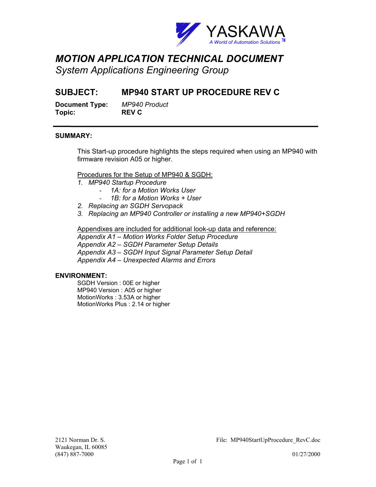

# *MOTION APPLICATION TECHNICAL DOCUMENT*

*System Applications Engineering Group* 

### **SUBJECT: MP940 START UP PROCEDURE REV C**

**Document Type:** *MP940 Product*  **Topic: REV C**

### **SUMMARY:**

j

This Start-up procedure highlights the steps required when using an MP940 with firmware revision A05 or higher.

### Procedures for the Setup of MP940 & SGDH:

- *1. MP940 Startup Procedure* 
	- 1A: for a Motion Works User
	- *1B: for a Motion Works + User*
- *2. Replacing an SGDH Servopack*
- *3. Replacing an MP940 Controller or installing a new MP940+SGDH*

Appendixes are included for additional look-up data and reference:

*Appendix A1 – Motion Works Folder Setup Procedure Appendix A2 – SGDH Parameter Setup Details Appendix A3 – SGDH Input Signal Parameter Setup Detail Appendix A4 – Unexpected Alarms and Errors* 

#### **ENVIRONMENT:**

SGDH Version : 00E or higher MP940 Version : A05 or higher MotionWorks : 3.53A or higher MotionWorks Plus : 2.14 or higher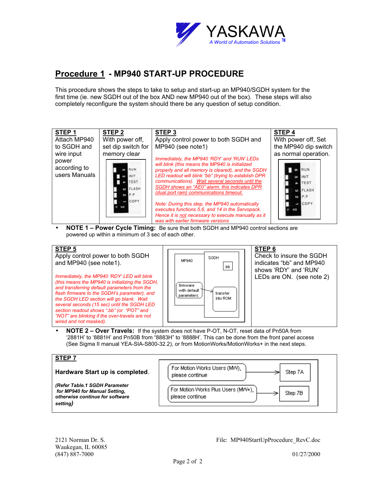

### **Procedure 1 - MP940 START-UP PROCEDURE**

This procedure shows the steps to take to setup and start-up an MP940/SGDH system for the first time (ie. new SGDH out of the box AND new MP940 out of the box). These steps will also completely reconfigure the system should there be any question of setup condition.



• **NOTE 1 – Power Cycle Timing:** Be sure that both SGDH and MP940 control sections are powered up within a minimum of 3 sec of each other.



• **NOTE 2 – Over Travels:** If the system does not have P-OT, N-OT, reset data of Pn50A from '2881H' to '8881H' and Pn50B from "8883H" to '8888H'. This can be done from the front panel access (See Sigma II manual YEA-SIA-S800-32.2), or from MotionWorks/MotionWorks+ in the next steps.

| <b>STEP 7</b>                                                                                                 |                                                                  |
|---------------------------------------------------------------------------------------------------------------|------------------------------------------------------------------|
| Hardware Start up is completed.                                                                               | For Motion Works Users (MW),<br>Step 7A<br>please continue       |
| (Refer Table.1 SGDH Parameter<br>for MP940 for Manual Setting,<br>otherwise continue for software<br>setting) | For Motion Works Plus Users (MW+),<br>Step 7B<br>please continue |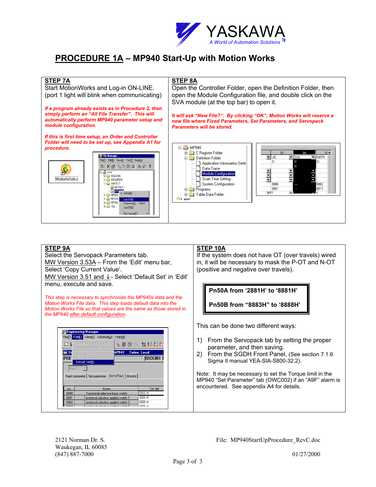

### **PROCEDURE 1A – MP940 Start-Up with Motion Works**



#### **STEP 9A STEP 10A** Select the Servopack Parameters tab. If the system does not have OT (over travels) wired MW Version 3.53A - From the 'Edit' menu bar, in, it will be necessary to mask the P-OT and N-OT (positive and negative over travels). Select 'Copy Current Value'. MW Version 3.51 and ↓ - Select 'Default Set' in 'Edit' menu, execute and save. **Pn50A from '2881H' to '8881H'** *This step is necessary to synchronize the MP940s data and the Motion Works File data. This step loads default data into the*  **Pn50B from "8883H" to '8888H'** *Motion Works File so that values are the same as those stored in the MP940 after default configuration.*  This can be done two different ways: **E.** Engineering Manager File(E) Edit(E) View(V) Window(W) Help(H) 1) From the Servopack tab by setting the proper sis Data Copy(C) Ctrl- $D$   $\overline{b}$ **T<sub>C</sub> CRO DIS RES Not 玩 玩** Axis Data Paste(P) Chleb parameter, and then saving.  $\Box$ sv VP940 Online Local 2) From the SGDH Front Panel, (See section 7.1.6  $\overline{\mathbb{P}T}$ RACK#01 Sigma II manual YEA-SIA-S800-32.2). Default Set(R)  $\overline{\phantom{a}}$ Note: It may be necessary to set the Torque limit in the Fixed parameter | Set parameter | Servo Pack | Monitor | MP940 "Set Parameter" tab (OWC002) if an "A9F" alarm is encountered. See appendix A4 for details.  $N<sub>0</sub>$ Name Set dat 0000 Functional selective basic switch 0000H  $0000F$ 0001 Functional selective applied switch 1 0002 Functional selective applied switch 2 0000 H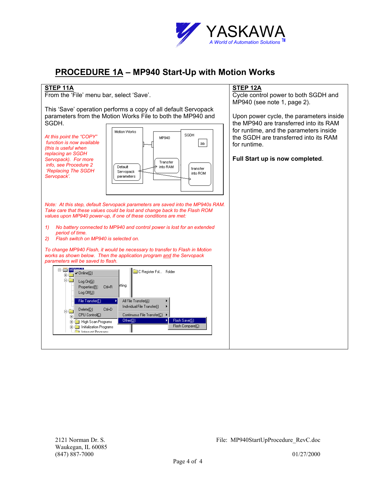

**STEP 12A**

Cycle control power to both SGDH and

Upon power cycle, the parameters inside

MP940 (see note 1, page 2).

### **PROCEDURE 1A – MP940 Start-Up with Motion Works**

#### **STEP 11A**

From the 'File' menu bar, select 'Save'.

This 'Save' operation performs a copy of all default Servopack parameters from the Motion Works File to both the MP940 and SGDH.

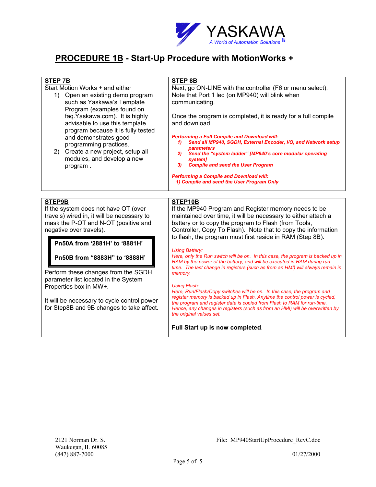

### **PROCEDURE 1B - Start-Up Procedure with MotionWorks +**

| <b>STEP 7B</b><br>Start Motion Works + and either<br>1) Open an existing demo program<br>such as Yaskawa's Template<br>Program (examples found on<br>faq.Yaskawa.com). It is highly<br>advisable to use this template<br>program because it is fully tested<br>and demonstrates good<br>programming practices.<br>2) Create a new project, setup all<br>modules, and develop a new<br>program.                                         | <b>STEP 8B</b><br>Next, go ON-LINE with the controller (F6 or menu select).<br>Note that Port 1 led (on MP940) will blink when<br>communicating.<br>Once the program is completed, it is ready for a full compile<br>and download.<br><b>Performing a Full Compile and Download will:</b><br>Send all MP940, SGDH, External Encoder, I/O, and Network setup<br>1)<br>parameters<br>Send the "system ladder" [MP940's core modular operating<br>2)<br><i>system1</i><br><b>Compile and send the User Program</b><br>3)<br><b>Performing a Compile and Download will:</b>                                                                                                                                                                                                                                                                                                                                                                                                                                                |
|----------------------------------------------------------------------------------------------------------------------------------------------------------------------------------------------------------------------------------------------------------------------------------------------------------------------------------------------------------------------------------------------------------------------------------------|------------------------------------------------------------------------------------------------------------------------------------------------------------------------------------------------------------------------------------------------------------------------------------------------------------------------------------------------------------------------------------------------------------------------------------------------------------------------------------------------------------------------------------------------------------------------------------------------------------------------------------------------------------------------------------------------------------------------------------------------------------------------------------------------------------------------------------------------------------------------------------------------------------------------------------------------------------------------------------------------------------------------|
|                                                                                                                                                                                                                                                                                                                                                                                                                                        | 1) Compile and send the User Program Only                                                                                                                                                                                                                                                                                                                                                                                                                                                                                                                                                                                                                                                                                                                                                                                                                                                                                                                                                                              |
| STEP9B<br>If the system does not have OT (over<br>travels) wired in, it will be necessary to<br>mask the P-OT and N-OT (positive and<br>negative over travels).<br>Pn50A from '2881H' to '8881H'<br>Pn50B from "8883H" to '8888H'<br>Perform these changes from the SGDH<br>parameter list located in the System<br>Properties box in MW+.<br>It will be necessary to cycle control power<br>for Step8B and 9B changes to take affect. | STEP10B<br>If the MP940 Program and Register memory needs to be<br>maintained over time, it will be necessary to either attach a<br>battery or to copy the program to Flash (from Tools,<br>Controller, Copy To Flash). Note that to copy the information<br>to flash, the program must first reside in RAM (Step 8B).<br><b>Using Battery:</b><br>Here, only the Run switch will be on. In this case, the program is backed up in<br>RAM by the power of the battery, and will be executed in RAM during run-<br>time. The last change in registers (such as from an HMI) will always remain in<br>memory.<br><b>Using Flash:</b><br>Here, Run/Flash/Copy switches will be on. In this case, the program and<br>register memory is backed up in Flash. Anytime the control power is cycled,<br>the program and register data is copied from Flash to RAM for run-time.<br>Hence, any changes in registers (such as from an HMI) will be overwritten by<br>the original values set.<br>Full Start up is now completed. |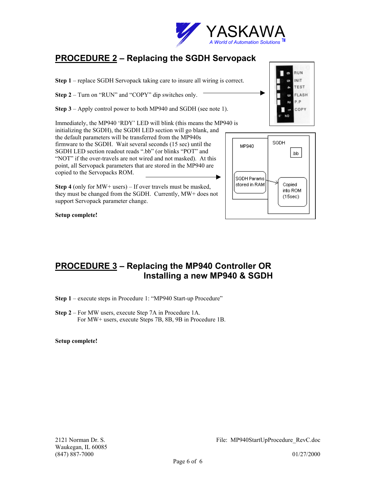

# **PROCEDURE 2 – Replacing the SGDH Servopack**

**Step 1** – replace SGDH Servopack taking care to insure all wiring is correct.

**Step 2** – Turn on "RUN" and "COPY" dip switches only.

**Step 3** – Apply control power to both MP940 and SGDH (see note 1).

Immediately, the MP940 'RDY' LED will blink (this means the MP940 is initializing the SGDH), the SGDH LED section will go blank, and

the default parameters will be transferred from the MP940s firmware to the SGDH. Wait several seconds (15 sec) until the SGDH LED section readout reads ".bb" (or blinks "POT" and "NOT" if the over-travels are not wired and not masked). At this point, all Servopack parameters that are stored in the MP940 are copied to the Servopacks ROM.

**Step 4** (only for MW+ users) – If over travels must be masked, they must be changed from the SGDH. Currently, MW+ does not support Servopack parameter change.

SGDH MP940 dd. SGDH Params stored in RAM Copied into ROM  $(15sec)$ 

**Setup complete!** 

### **PROCEDURE 3 – Replacing the MP940 Controller OR Installing a new MP940 & SGDH**

**Step 1** – execute steps in Procedure 1: "MP940 Start-up Procedure"

**Step 2** – For MW users, execute Step 7A in Procedure 1A. For MW+ users, execute Steps 7B, 8B, 9B in Procedure 1B.

**Setup complete!**

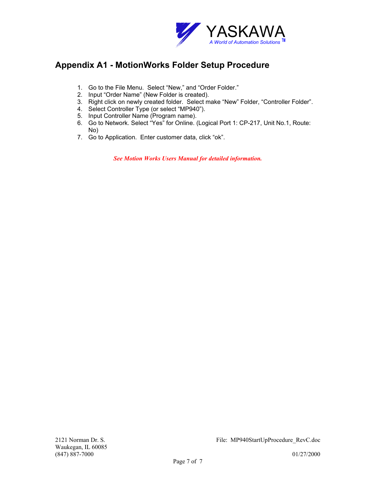

### **Appendix A1 - MotionWorks Folder Setup Procedure**

- 1. Go to the File Menu. Select "New," and "Order Folder."
- 2. Input "Order Name" (New Folder is created).
- 3. Right click on newly created folder. Select make "New" Folder, "Controller Folder".
- 4. Select Controller Type (or select "MP940").
- 5. Input Controller Name (Program name).
- 6. Go to Network. Select "Yes" for Online. (Logical Port 1: CP-217, Unit No.1, Route: No)
- 7. Go to Application. Enter customer data, click "ok".

*See Motion Works Users Manual for detailed information.*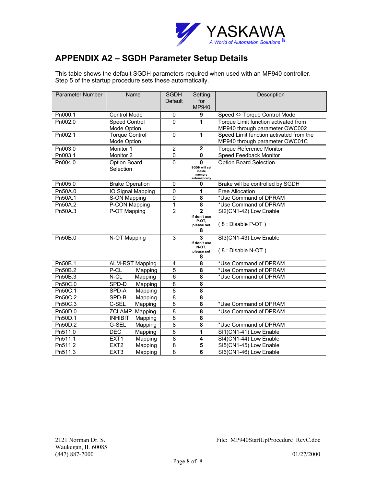

### **APPENDIX A2 – SGDH Parameter Setup Details**

This table shows the default SGDH parameters required when used with an MP940 controller. Step 5 of the startup procedure sets these automatically.

| Parameter Number | Name                        | <b>SGDH</b>    | Setting                        | Description                             |
|------------------|-----------------------------|----------------|--------------------------------|-----------------------------------------|
|                  |                             | <b>Default</b> | for                            |                                         |
|                  |                             |                | MP940                          |                                         |
| Pn000.1          | Control Mode                | 0              | 9                              | Speed ⇔ Torque Control Mode             |
| Pn002.0          | Speed Control               | $\mathbf 0$    | 1                              | Torque Limit function activated from    |
|                  | Mode Option                 |                |                                | MP940 through parameter OWC002          |
| Pn002.1          | <b>Torque Control</b>       | 0              | $\mathbf{1}$                   | Speed Limit function activated from the |
|                  | Mode Option                 |                |                                | MP940 through parameter OWC01C          |
| Pn003.0          | Monitor 1                   | $\mathbf 2$    | $\boldsymbol{2}$               | <b>Torque Reference Monitor</b>         |
| Pn003.1          | Monitor <sub>2</sub>        | $\overline{0}$ | $\mathbf 0$                    | Speed Feedback Monitor                  |
| Pn004.0          | Option Board                | 0              | $\mathbf{0}$                   | <b>Option Board Selection</b>           |
|                  | Selection                   |                | <b>SGDH will set</b><br>inside |                                         |
|                  |                             |                | memory<br>automatically        |                                         |
| Pn005.0          | <b>Brake Operation</b>      | $\Omega$       | 0                              | Brake will be controlled by SGDH        |
| Pn50A.0          | IO Signal Mapping           | $\mathsf 0$    | 1                              | Free Allocation                         |
| Pn50A.1          | S-ON Mapping                | $\overline{0}$ | 8                              | *Use Command of DPRAM                   |
| Pn50A.2          | P-CON Mapping               | $\mathbf{1}$   | $\overline{\mathbf{8}}$        | *Use Command of DPRAM                   |
| Pn50A.3          | P-OT Mapping                | $\overline{2}$ | $\overline{2}$                 | SI2(CN1-42) Low Enable                  |
|                  |                             |                | if don't use<br>P-OT,          |                                         |
|                  |                             |                | please set                     | (8 : Disable P-OT)                      |
|                  |                             |                | 8                              |                                         |
| Pn50B.0          | N-OT Mapping                | 3              | 3                              | SI3(CN1-43) Low Enable                  |
|                  |                             |                | if don't use<br>N-OT.          |                                         |
|                  |                             |                | please set                     | (8 : Disable N-OT)                      |
|                  |                             |                | 8                              |                                         |
| Pn50B.1          | <b>ALM-RST Mapping</b>      | 4              | $\overline{\mathbf{8}}$        | *Use Command of DPRAM                   |
| Pn50B.2          | P-CL<br>Mapping             | $\overline{5}$ | 8                              | *Use Command of DPRAM                   |
| Pn50B.3          | $N$ -CL<br>Mapping          | $\overline{6}$ | 8                              | *Use Command of DPRAM                   |
| Pn50C.0          | SPD-D<br>Mapping            | 8              | 8                              |                                         |
| Pn50C.1          | SPD-A<br>Mapping            | $\overline{8}$ | 8                              |                                         |
| Pn50C.2          | SPD-B<br>Mapping            | $\overline{8}$ | 8                              |                                         |
| Pn50C.3          | C-SEL<br>Mapping            | 8              | $\overline{\mathbf{8}}$        | *Use Command of DPRAM                   |
| Pn50D.0          | <b>ZCLAMP</b><br>Mapping    | $\overline{8}$ | 8                              | *Use Command of DPRAM                   |
| Pn50D.1          | <b>INHIBIT</b><br>Mapping   | $\overline{8}$ | 8                              |                                         |
| Pn50D.2          | G-SEL<br>Mapping            | 8              | 8                              | *Use Command of DPRAM                   |
| Pn511.0          | DEC<br>Mapping              | $\overline{8}$ | 1                              | SI1(CN1-41) Low Enable                  |
| Pn511.1          | EXT <sub>1</sub><br>Mapping | $\overline{8}$ | $\overline{\mathbf{4}}$        | SI4(CN1-44) Low Enable                  |
| Pn511.2          | EXT <sub>2</sub><br>Mapping | $\overline{8}$ | $\overline{\mathbf{5}}$        | SI5(CN1-45) Low Enable                  |
| Pn511.3          | EXT <sub>3</sub><br>Mapping | $\overline{8}$ | 6                              | SI6(CN1-46) Low Enable                  |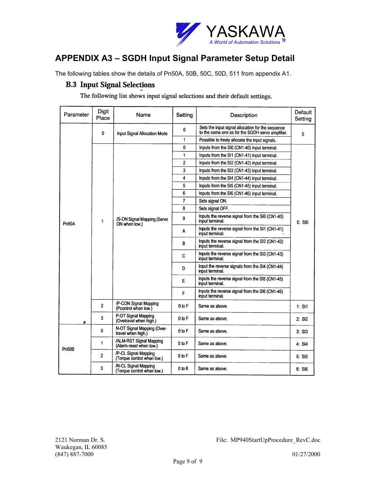

# **APPENDIX A3 – SGDH Input Signal Parameter Setup Detail**

The following tables show the details of Pn50A, 50B, 50C, 50D, 511 from appendix A1.

### **B.3 Input Signal Selections**

The following list shows input signal selections and their default settings.

| Parameter | Digit<br>Place | Name                                               | Setting        | Description                                                                                           | Default<br>Setting |  |
|-----------|----------------|----------------------------------------------------|----------------|-------------------------------------------------------------------------------------------------------|--------------------|--|
|           | 0              | Input Signal Allocation Mode                       | 0              | Sets the input signal allocation for the sequence<br>to the same one as for the SGDH servo amplifier. | 0                  |  |
|           |                |                                                    | 1              | Possible to freely allocate the input signals.                                                        |                    |  |
|           |                |                                                    | 0              | Inputs from the SI0 (CN1-40) input terminal.                                                          |                    |  |
|           |                |                                                    | 1              | Inputs from the SI1 (CN1-41) input terminal.                                                          |                    |  |
|           |                |                                                    | $\overline{c}$ | Inputs from the SI2 (CN1-42) input terminal.                                                          |                    |  |
|           |                |                                                    | 3              | Inputs from the SI3 (CN1-43) input terminal.                                                          |                    |  |
|           |                |                                                    | 4              | Inputs from the SI4 (CN1-44) input terminal.                                                          |                    |  |
|           |                |                                                    | 5              | Inputs from the SI5 (CN1-45) input terminal.                                                          |                    |  |
|           |                |                                                    | 6              | Inputs from the SI6 (CN1-46) input terminal.                                                          |                    |  |
|           |                |                                                    | 7              | Sets signal ON.                                                                                       |                    |  |
|           |                |                                                    | 8              | Sets signal OFF.                                                                                      | $0:$ SIO           |  |
| Pn50A     | 1              | /S-ON Signal Mapping (Servo<br>ON when low.)       | 9              | Inputs the reverse signal from the SI0 (CN1-40)<br>input terminal.                                    |                    |  |
|           |                |                                                    | Α              | Inputs the reverse signal from the SI1 (CN1-41)<br>input terminal.                                    |                    |  |
|           |                |                                                    | в              | Inputs the reverse signal from the SI2 (CN1-42)<br>input terminal.                                    |                    |  |
|           |                |                                                    | C              | Inputs the reverse signal from the SI3 (CN1-43)<br>input terminal.                                    |                    |  |
|           |                |                                                    | D              | Input the reverse signals from the SI4 (CN1-44)<br>input terminal.                                    |                    |  |
|           |                |                                                    | Е              | Inputs the reverse signal from the SI5 (CN1-45)<br>input terminal.                                    |                    |  |
|           |                |                                                    | F              | Inputs the reverse signal from the SI6 (CN1-46)<br>input terminal.                                    |                    |  |
|           | 2              | /P-CON Signal Mapping<br>(Pcontrol when low.)      | 0 to F         | Same as above.                                                                                        | 1: $S11$           |  |
| s         | 3              | P-OT Signal Mapping<br>(Ovetravel when high.)      | 0 to F         | Same as above.                                                                                        | 2: SI2             |  |
| Pn50B     | $\bf{0}$       | N-OT Signal Mapping (Over-<br>travel when high.)   | 0 to F         | Same as above.                                                                                        | $3.$ SI $3$        |  |
|           | 1              | /ALM-RST Signal Mapping<br>(Alarm reset when low.) | $0$ to $F$     | Same as above.                                                                                        | 4: SI4             |  |
|           | $\overline{2}$ | /P-CL Signal Mapping<br>(Torque control when low.) | 0 to F         | Same as above.                                                                                        | 5: SI5             |  |
|           | 3              | /N-CL Signal Mapping<br>(Torque control when low.) | 0 to 8         | Same as above.                                                                                        | 6: SI6             |  |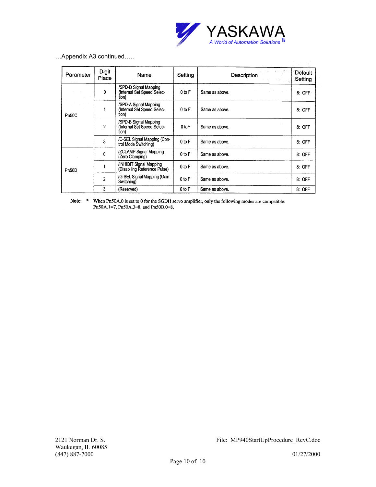

| Appendix A3 continued |  |
|-----------------------|--|
|-----------------------|--|

| Parameter | Digit<br>Place | Name                                                         | Setting    | Description    | Default<br>Setting |
|-----------|----------------|--------------------------------------------------------------|------------|----------------|--------------------|
|           | $\mathbf{0}$   | /SPD-D Signal Mapping<br>(Internal Set Speed Selec-<br>tion) | $0$ to $F$ | Same as above. | 8: OFF             |
| Pn50C     |                | /SPD-A Signal Mapping<br>(Internal Set Speed Selec-<br>tion) | $0$ to $F$ | Same as above. | 8: OFF             |
|           | $\overline{2}$ | /SPD-B Signal Mapping<br>(Internal Set Speed Selec-<br>tion) | 0 to F     | Same as above. | 8: OFF             |
|           | 3              | /C-SEL Signal Mapping (Con-<br>trol Mode Switching)          | $0$ to $F$ | Same as above. | 8: OFF             |
|           | 0              | /ZCLAMP Signal Mapping<br>(Zero Clamping)                    | $0$ to $F$ | Same as above. | 8: OFF             |
| Pn50D     |                | /INHIBIT Signal Mapping<br>(Disab ling Reference Pulse)      | 0 to F     | Same as above. | 8: OFF             |
|           | $\overline{2}$ | /G-SEL Signal Mapping (Gain<br>Switching)                    | $0$ to $F$ | Same as above. | 8: OFF             |
|           | 3              | (Reserved)                                                   | 0 to F     | Same as above. | 8: OFF             |

Note: \* When Pn50A.0 is set to 0 for the SGDH servo amplifier, only the following modes are compatible: Pn50A.1=7, Pn50A.3=8, and Pn50B.0=8.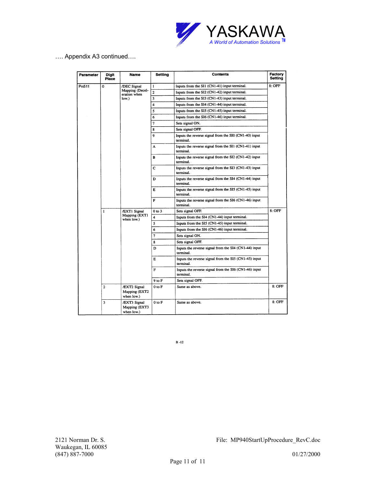

…. Appendix A3 continued….

| Parameter<br>Digit<br>Name<br>Place |                | Setting                                        | <b>Contents</b>         | Factory<br><b>Setting</b>                                            |          |  |
|-------------------------------------|----------------|------------------------------------------------|-------------------------|----------------------------------------------------------------------|----------|--|
| Pn511                               | $\Omega$       | /DEC Signal<br>Mapping (Decel-<br>eration when | 1                       | Inputs from the SI1 (CN1-41) input terminal.                         | 8: OFF   |  |
|                                     |                |                                                | $\overline{\mathbf{c}}$ | Inputs from the SI2 (CN1-42) input terminal.                         |          |  |
|                                     |                | low.)                                          | 3                       | Inputs from the SI3 (CN1-43) input terminal.                         |          |  |
|                                     |                |                                                | 4                       | Inputs from the SI4 (CN1-44) input terminal.                         |          |  |
|                                     |                |                                                | 5                       | Inputs from the SI5 (CN1-45) input terminal.                         |          |  |
|                                     |                |                                                | 6                       | Inputs from the SI6 (CN1-46) input terminal.                         |          |  |
|                                     |                |                                                | 7                       | Sets signal ON.                                                      |          |  |
|                                     |                |                                                | 8                       | Sets signal OFF.                                                     |          |  |
|                                     |                |                                                | 9                       | Inputs the reverse signal from the SI0 (CN1-40) input<br>terminal.   |          |  |
|                                     |                |                                                | A                       | Inputs the reverse signal from the SI1 (CN1-41) input<br>terminal.   |          |  |
|                                     |                |                                                | в                       | Inputs the reverse signal from the SI2 (CN1-42) input<br>terminal.   |          |  |
|                                     |                |                                                | C                       | Inputs the reverse signal from the SI3 (CN1-43) input<br>terminal.   |          |  |
|                                     |                |                                                | D                       | Inputs the reverse signal from the SI4 (CN1-44) input<br>terminal.   |          |  |
|                                     |                |                                                | Е                       | Inputs the reverse signal from the $SI5$ (CN1-45) input<br>terminal. |          |  |
|                                     |                |                                                | F                       | Inputs the reverse signal from the SI6 (CN1-46) input<br>terminal.   |          |  |
|                                     | $\mathbf{1}$   | /EXTI Signal                                   | $0$ to $3$              | Sets signal OFF.                                                     | $8:$ OFF |  |
|                                     |                | Mapping (EXT1<br>when low.)                    | 4                       | Inputs from the SI4 (CN1-44) input terminal.                         |          |  |
|                                     |                |                                                | 5                       | Inputs from the SI5 (CN1-45) input terminal.                         |          |  |
|                                     |                |                                                | 6                       | Inputs from the SI6 (CN1-46) input terminal.                         |          |  |
|                                     |                |                                                | 7                       | Sets signal ON.                                                      |          |  |
|                                     |                |                                                | 8                       | Sets signal OFF.                                                     |          |  |
|                                     |                |                                                | D                       | Inputs the reverse signal from the SI4 (CN1-44) input<br>terminal.   |          |  |
|                                     |                |                                                | Е                       | Inputs the reverse signal from the SI5 (CN1-45) input<br>terminal.   |          |  |
|                                     |                |                                                | F                       | Inputs the reverse signal from the SI6 (CN1-46) input<br>terminal.   |          |  |
|                                     |                |                                                | 9 to F                  | Sets signal OFF.                                                     |          |  |
|                                     | $\overline{c}$ | /EXT2 Signal<br>Mapping (EXT2<br>when low.)    | 0 to F                  | Same as above.                                                       | 8: OFF   |  |
|                                     | 3              | /EXT3 Signal<br>Mapping (EXT3<br>when low.)    | $0$ to $F$              | Same as above.                                                       | $8:$ OFF |  |

 $B - 12$